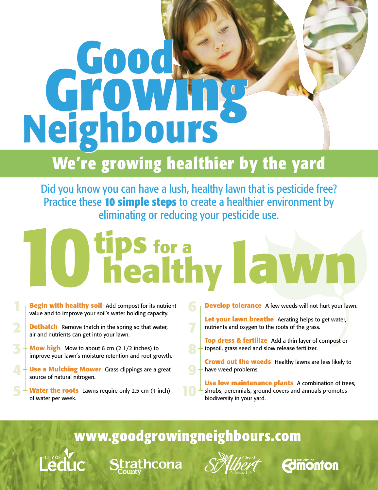# **Neighb Neighbours ours**

# **We're growing healthier by the yard**

Did you know you can have a lush, healthy lawn that is pesticide free? Practice these **10 simple steps** to create a healthier environment by eliminating or reducing your pesticide use.

# **healthy tips for a 10 lawn**

**6**

**7**

**Begin with healthy soil** Add compost for its nutrient value and to improve your soil's water holding capacity.

**Dethatch** Remove thatch in the spring so that water, air and nutrients can get into your lawn.

**1**

**2**

**5**

**3**

**Mow high** Mow to about 6 cm (2 1/2 inches) to improve your lawn's moisture retention and root growth.

**Use a Mulching Mower** Grass clippings are a great source of natural nitrogen.

**Water the roots** Lawns require only 2.5 cm (1 inch) of water per week.

**Develop tolerance** A few weeds will not hurt your lawn.

Let your lawn breathe Aerating helps to get water, nutrients and oxygen to the roots of the grass.

**Top dress & fertilize** Add a thin layer of compost or topsoil, grass seed and slow release fertilizer.

**Crowd out the weeds** Healthy lawns are less likely to have weed problems.

**Use low maintenance plants** A combination of trees, shrubs, perennials, ground covers and annuals promotes biodiversity in your yard.

**Fomonton** 

**www.goodgrowingneighbours.com**

**Strathcona** 

**10**

**9**